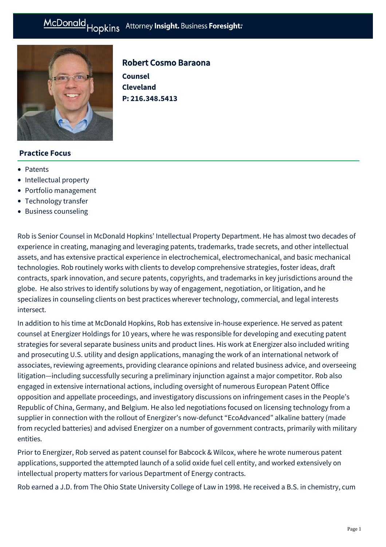

# Robert Cosmo Baraona

**Counsel Cleveland P: [216.348.5413](tel:216.348.5413)**

## **Practice Focus**

- [Patents](https://mcdonaldhopkins.com/Expertise/Intellectual-property/Patents)
- [Intellectual property](https://mcdonaldhopkins.com/Expertise/Intellectual-property)
- [Portfolio management](https://mcdonaldhopkins.com/Expertise/Intellectual-property/Portfolio-management)
- [Technology transfer](https://mcdonaldhopkins.com/Expertise/Intellectual-property/Technology-transfer)
- [Business counseling](https://mcdonaldhopkins.com/Expertise/Business-counseling)

Rob is Senior Counsel in McDonald Hopkins' Intellectual Property Department. He has almost two decades of experience in creating, managing and leveraging patents, trademarks, trade secrets, and other intellectual assets, and has extensive practical experience in electrochemical, electromechanical, and basic mechanical technologies. Rob routinely works with clients to develop comprehensive strategies, foster ideas, draft contracts, spark innovation, and secure patents, copyrights, and trademarks in key jurisdictions around the globe. He also strives to identify solutions by way of engagement, negotiation, or litigation, and he specializes in counseling clients on best practices wherever technology, commercial, and legal interests intersect.

In addition to his time at McDonald Hopkins, Rob has extensive in-house experience. He served as patent counsel at Energizer Holdings for 10 years, where he was responsible for developing and executing patent strategies for several separate business units and product lines. His work at Energizer also included writing and prosecuting U.S. utility and design applications, managing the work of an international network of associates, reviewing agreements, providing clearance opinions and related business advice, and overseeing litigation—including successfully securing a [preliminary injunction](http://ir.edgewell.com/news-and-events/press-releases/archive/10-31-08?sc_lang=en) against a major competitor. Rob also engaged in extensive international actions, including oversight of numerous European Patent Office opposition and appellate proceedings, and investigatory discussions on infringement cases in the People's Republic of China, Germany, and Belgium. He also led negotiations focused on licensing technology from a supplier in connection with the rollout of Energizer's now-defunct "EcoAdvanced" alkaline battery (made from recycled batteries) and advised Energizer on a number of government contracts, primarily with military entities.

Prior to Energizer, Rob served as patent counsel for Babcock & Wilcox, where he wrote numerous patent applications, supported the attempted launch of a solid oxide fuel cell entity, and worked extensively on intellectual property matters for various Department of Energy contracts.

Rob earned a J.D. from The Ohio State University College of Law in 1998. He received a B.S. in chemistry, cum